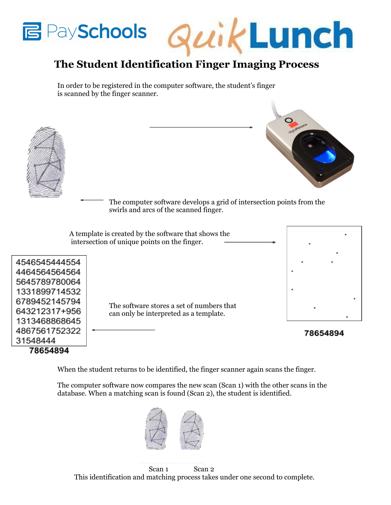



## **The Student Identification Finger Imaging Process**

In order to be registered in the computer software, the student's finger is scanned by the finger scanner.



When the student returns to be identified, the finger scanner again scans the finger.

The computer software now compares the new scan (Scan 1) with the other scans in the database. When a matching scan is found (Scan 2), the student is identified.



Scan 1 Scan 2 This identification and matching process takes under one second to complete.